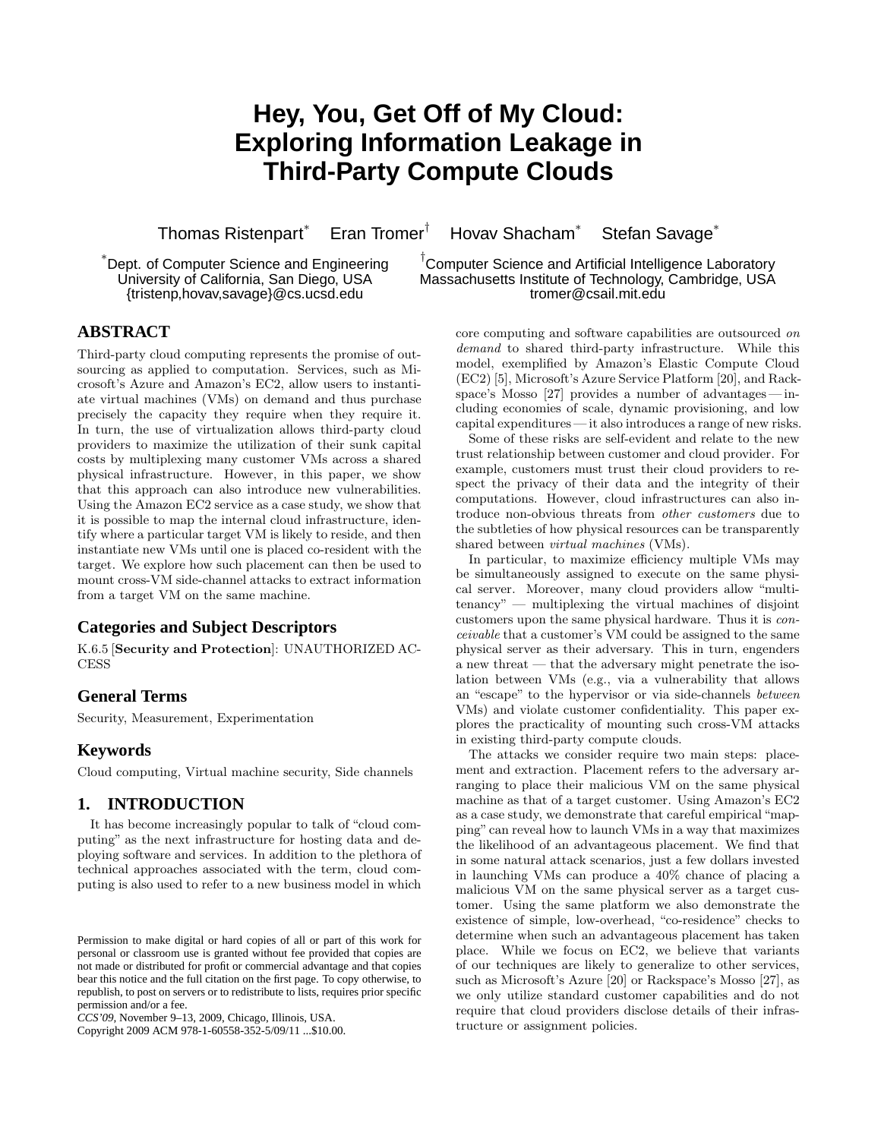# **Hey, You, Get Off of My Cloud: Exploring Information Leakage in Third-Party Compute Clouds**

Thomas Ristenpart<sup>∗</sup> Eran Tromer<sup>†</sup> Hovav Shacham<sup>∗</sup> Stefan Savage<sup>∗</sup>

 $*$ Dept. of Computer Science and Engineering  $*$  ${tristenp}$ , hovav, savage $@cs.$ ucsd.edu

<sup>T</sup>Computer Science and Artificial Intelligence Laboratory University of California, San Diego, USA Massachusetts Institute of Technology, Cambridge, USA<br>ftristenp.hovav.savage}@cs.ucsd.edu fromer@csail.mit.edu

## **ABSTRACT**

Third-party cloud computing represents the promise of outsourcing as applied to computation. Services, such as Microsoft's Azure and Amazon's EC2, allow users to instantiate virtual machines (VMs) on demand and thus purchase precisely the capacity they require when they require it. In turn, the use of virtualization allows third-party cloud providers to maximize the utilization of their sunk capital costs by multiplexing many customer VMs across a shared physical infrastructure. However, in this paper, we show that this approach can also introduce new vulnerabilities. Using the Amazon EC2 service as a case study, we show that it is possible to map the internal cloud infrastructure, identify where a particular target VM is likely to reside, and then instantiate new VMs until one is placed co-resident with the target. We explore how such placement can then be used to mount cross-VM side-channel attacks to extract information from a target VM on the same machine.

## **Categories and Subject Descriptors**

K.6.5 [Security and Protection]: UNAUTHORIZED AC-**CESS** 

## **General Terms**

Security, Measurement, Experimentation

## **Keywords**

Cloud computing, Virtual machine security, Side channels

## **1. INTRODUCTION**

It has become increasingly popular to talk of "cloud computing" as the next infrastructure for hosting data and deploying software and services. In addition to the plethora of technical approaches associated with the term, cloud computing is also used to refer to a new business model in which

Copyright 2009 ACM 978-1-60558-352-5/09/11 ...\$10.00.

core computing and software capabilities are outsourced on demand to shared third-party infrastructure. While this model, exemplified by Amazon's Elastic Compute Cloud (EC2) [5], Microsoft's Azure Service Platform [20], and Rackspace's Mosso [27] provides a number of advantages— including economies of scale, dynamic provisioning, and low capital expenditures— it also introduces a range of new risks.

Some of these risks are self-evident and relate to the new trust relationship between customer and cloud provider. For example, customers must trust their cloud providers to respect the privacy of their data and the integrity of their computations. However, cloud infrastructures can also introduce non-obvious threats from other customers due to the subtleties of how physical resources can be transparently shared between virtual machines (VMs).

In particular, to maximize efficiency multiple VMs may be simultaneously assigned to execute on the same physical server. Moreover, many cloud providers allow "multitenancy" — multiplexing the virtual machines of disjoint customers upon the same physical hardware. Thus it is conceivable that a customer's VM could be assigned to the same physical server as their adversary. This in turn, engenders a new threat — that the adversary might penetrate the isolation between VMs (e.g., via a vulnerability that allows an "escape" to the hypervisor or via side-channels between VMs) and violate customer confidentiality. This paper explores the practicality of mounting such cross-VM attacks in existing third-party compute clouds.

The attacks we consider require two main steps: placement and extraction. Placement refers to the adversary arranging to place their malicious VM on the same physical machine as that of a target customer. Using Amazon's EC2 as a case study, we demonstrate that careful empirical "mapping" can reveal how to launch VMs in a way that maximizes the likelihood of an advantageous placement. We find that in some natural attack scenarios, just a few dollars invested in launching VMs can produce a 40% chance of placing a malicious VM on the same physical server as a target customer. Using the same platform we also demonstrate the existence of simple, low-overhead, "co-residence" checks to determine when such an advantageous placement has taken place. While we focus on EC2, we believe that variants of our techniques are likely to generalize to other services, such as Microsoft's Azure [20] or Rackspace's Mosso [27], as we only utilize standard customer capabilities and do not require that cloud providers disclose details of their infrastructure or assignment policies.

Permission to make digital or hard copies of all or part of this work for personal or classroom use is granted without fee provided that copies are not made or distributed for profit or commercial advantage and that copies bear this notice and the full citation on the first page. To copy otherwise, to republish, to post on servers or to redistribute to lists, requires prior specific permission and/or a fee.

*CCS'09,* November 9–13, 2009, Chicago, Illinois, USA.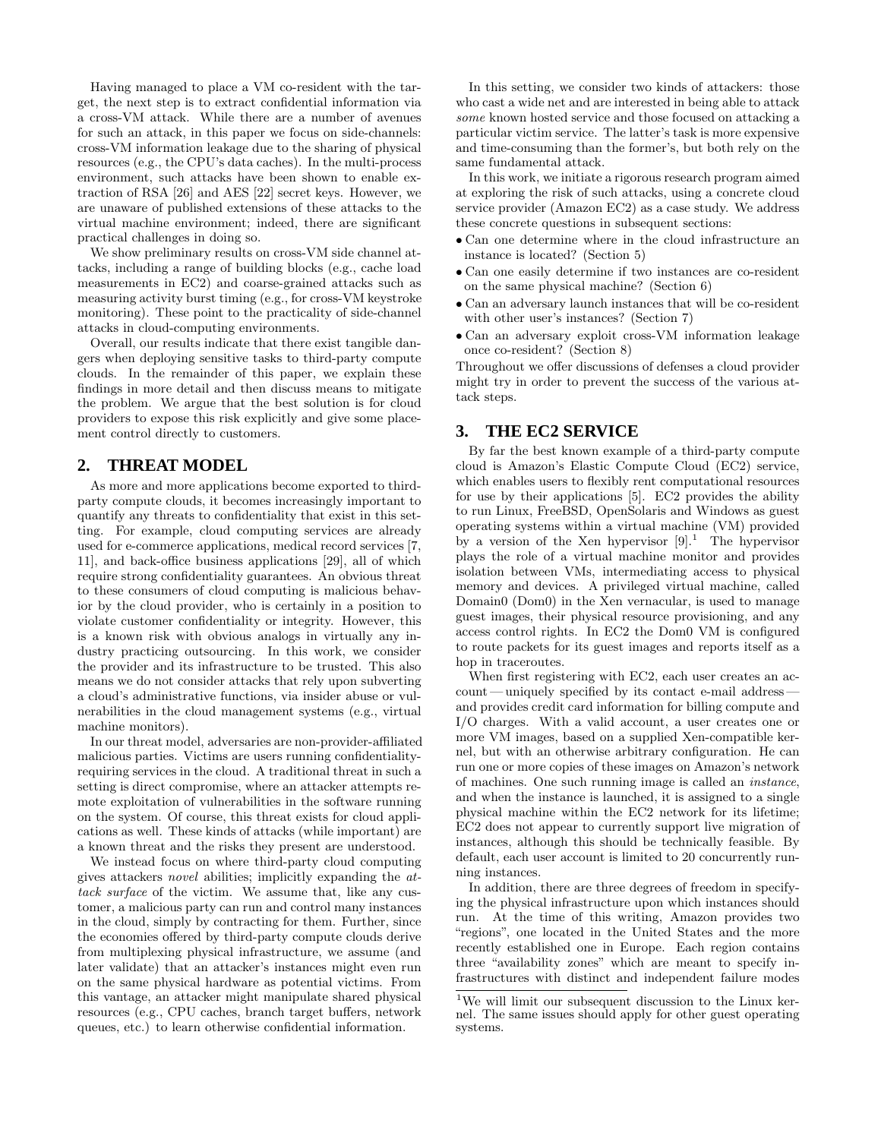Having managed to place a VM co-resident with the target, the next step is to extract confidential information via a cross-VM attack. While there are a number of avenues for such an attack, in this paper we focus on side-channels: cross-VM information leakage due to the sharing of physical resources (e.g., the CPU's data caches). In the multi-process environment, such attacks have been shown to enable extraction of RSA [26] and AES [22] secret keys. However, we are unaware of published extensions of these attacks to the virtual machine environment; indeed, there are significant practical challenges in doing so.

We show preliminary results on cross-VM side channel attacks, including a range of building blocks (e.g., cache load measurements in EC2) and coarse-grained attacks such as measuring activity burst timing (e.g., for cross-VM keystroke monitoring). These point to the practicality of side-channel attacks in cloud-computing environments.

Overall, our results indicate that there exist tangible dangers when deploying sensitive tasks to third-party compute clouds. In the remainder of this paper, we explain these findings in more detail and then discuss means to mitigate the problem. We argue that the best solution is for cloud providers to expose this risk explicitly and give some placement control directly to customers.

## **2. THREAT MODEL**

As more and more applications become exported to thirdparty compute clouds, it becomes increasingly important to quantify any threats to confidentiality that exist in this setting. For example, cloud computing services are already used for e-commerce applications, medical record services [7, 11], and back-office business applications [29], all of which require strong confidentiality guarantees. An obvious threat to these consumers of cloud computing is malicious behavior by the cloud provider, who is certainly in a position to violate customer confidentiality or integrity. However, this is a known risk with obvious analogs in virtually any industry practicing outsourcing. In this work, we consider the provider and its infrastructure to be trusted. This also means we do not consider attacks that rely upon subverting a cloud's administrative functions, via insider abuse or vulnerabilities in the cloud management systems (e.g., virtual machine monitors).

In our threat model, adversaries are non-provider-affiliated malicious parties. Victims are users running confidentialityrequiring services in the cloud. A traditional threat in such a setting is direct compromise, where an attacker attempts remote exploitation of vulnerabilities in the software running on the system. Of course, this threat exists for cloud applications as well. These kinds of attacks (while important) are a known threat and the risks they present are understood.

We instead focus on where third-party cloud computing gives attackers novel abilities; implicitly expanding the attack surface of the victim. We assume that, like any customer, a malicious party can run and control many instances in the cloud, simply by contracting for them. Further, since the economies offered by third-party compute clouds derive from multiplexing physical infrastructure, we assume (and later validate) that an attacker's instances might even run on the same physical hardware as potential victims. From this vantage, an attacker might manipulate shared physical resources (e.g., CPU caches, branch target buffers, network queues, etc.) to learn otherwise confidential information.

In this setting, we consider two kinds of attackers: those who cast a wide net and are interested in being able to attack some known hosted service and those focused on attacking a particular victim service. The latter's task is more expensive and time-consuming than the former's, but both rely on the same fundamental attack.

In this work, we initiate a rigorous research program aimed at exploring the risk of such attacks, using a concrete cloud service provider (Amazon EC2) as a case study. We address these concrete questions in subsequent sections:

- Can one determine where in the cloud infrastructure an instance is located? (Section 5)
- Can one easily determine if two instances are co-resident on the same physical machine? (Section 6)
- Can an adversary launch instances that will be co-resident with other user's instances? (Section 7)
- Can an adversary exploit cross-VM information leakage once co-resident? (Section 8)

Throughout we offer discussions of defenses a cloud provider might try in order to prevent the success of the various attack steps.

#### **3. THE EC2 SERVICE**

By far the best known example of a third-party compute cloud is Amazon's Elastic Compute Cloud (EC2) service, which enables users to flexibly rent computational resources for use by their applications [5]. EC2 provides the ability to run Linux, FreeBSD, OpenSolaris and Windows as guest operating systems within a virtual machine (VM) provided by a version of the Xen hypervisor  $[9]$ .<sup>1</sup> The hypervisor plays the role of a virtual machine monitor and provides isolation between VMs, intermediating access to physical memory and devices. A privileged virtual machine, called Domain0 (Dom0) in the Xen vernacular, is used to manage guest images, their physical resource provisioning, and any access control rights. In EC2 the Dom0 VM is configured to route packets for its guest images and reports itself as a hop in traceroutes.

When first registering with EC2, each user creates an account— uniquely specified by its contact e-mail address and provides credit card information for billing compute and I/O charges. With a valid account, a user creates one or more VM images, based on a supplied Xen-compatible kernel, but with an otherwise arbitrary configuration. He can run one or more copies of these images on Amazon's network of machines. One such running image is called an instance, and when the instance is launched, it is assigned to a single physical machine within the EC2 network for its lifetime; EC2 does not appear to currently support live migration of instances, although this should be technically feasible. By default, each user account is limited to 20 concurrently running instances.

In addition, there are three degrees of freedom in specifying the physical infrastructure upon which instances should run. At the time of this writing, Amazon provides two "regions", one located in the United States and the more recently established one in Europe. Each region contains three "availability zones" which are meant to specify infrastructures with distinct and independent failure modes

 $^1\rm{We}$  will limit our subsequent discussion to the Linux kernel. The same issues should apply for other guest operating systems.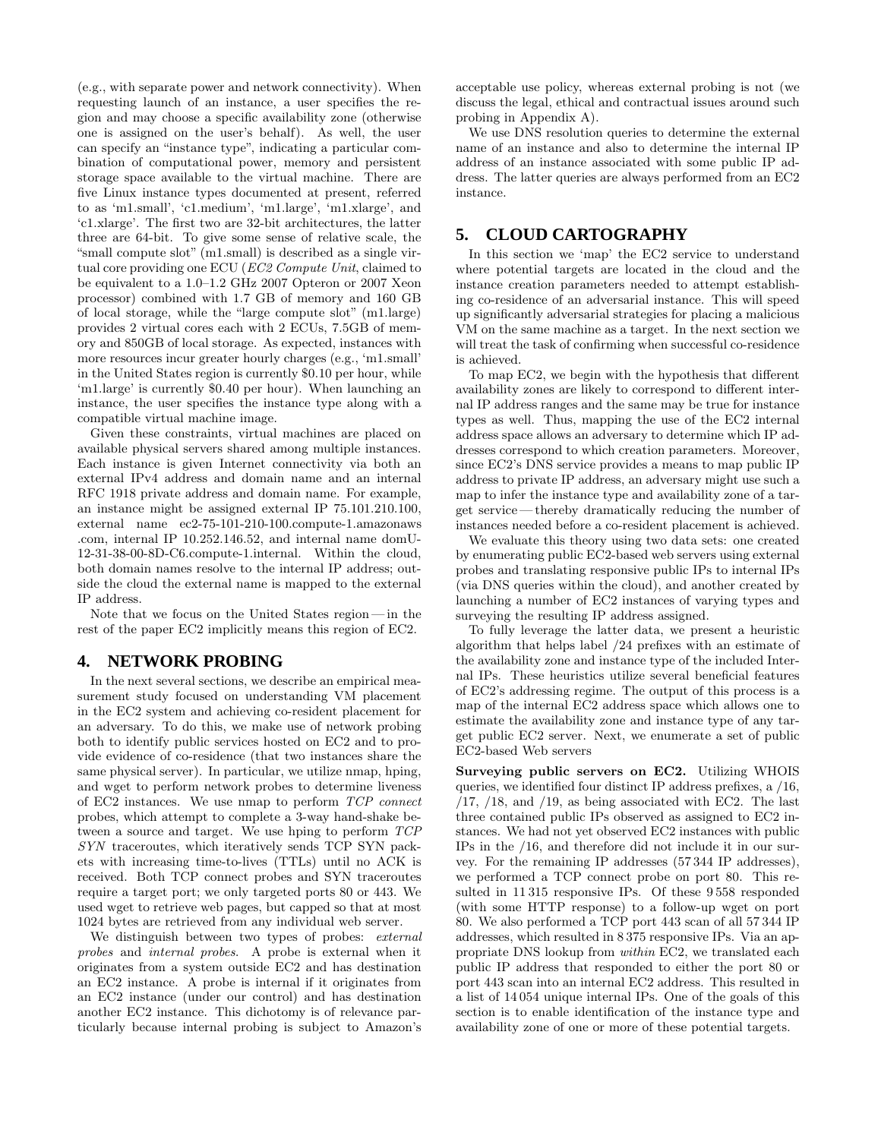(e.g., with separate power and network connectivity). When requesting launch of an instance, a user specifies the region and may choose a specific availability zone (otherwise one is assigned on the user's behalf). As well, the user can specify an "instance type", indicating a particular combination of computational power, memory and persistent storage space available to the virtual machine. There are five Linux instance types documented at present, referred to as 'm1.small', 'c1.medium', 'm1.large', 'm1.xlarge', and 'c1.xlarge'. The first two are 32-bit architectures, the latter three are 64-bit. To give some sense of relative scale, the "small compute slot" (m1.small) is described as a single virtual core providing one ECU (EC2 Compute Unit, claimed to be equivalent to a 1.0–1.2 GHz 2007 Opteron or 2007 Xeon processor) combined with 1.7 GB of memory and 160 GB of local storage, while the "large compute slot" (m1.large) provides 2 virtual cores each with 2 ECUs, 7.5GB of memory and 850GB of local storage. As expected, instances with more resources incur greater hourly charges (e.g., 'm1.small' in the United States region is currently \$0.10 per hour, while 'm1.large' is currently \$0.40 per hour). When launching an instance, the user specifies the instance type along with a compatible virtual machine image.

Given these constraints, virtual machines are placed on available physical servers shared among multiple instances. Each instance is given Internet connectivity via both an external IPv4 address and domain name and an internal RFC 1918 private address and domain name. For example, an instance might be assigned external IP 75.101.210.100, external name ec2-75-101-210-100.compute-1.amazonaws .com, internal IP 10.252.146.52, and internal name domU-12-31-38-00-8D-C6.compute-1.internal. Within the cloud, both domain names resolve to the internal IP address; outside the cloud the external name is mapped to the external IP address.

Note that we focus on the United States region— in the rest of the paper EC2 implicitly means this region of EC2.

## **4. NETWORK PROBING**

In the next several sections, we describe an empirical measurement study focused on understanding VM placement in the EC2 system and achieving co-resident placement for an adversary. To do this, we make use of network probing both to identify public services hosted on EC2 and to provide evidence of co-residence (that two instances share the same physical server). In particular, we utilize nmap, hping, and wget to perform network probes to determine liveness of EC2 instances. We use nmap to perform TCP connect probes, which attempt to complete a 3-way hand-shake between a source and target. We use hping to perform TCP SYN traceroutes, which iteratively sends TCP SYN packets with increasing time-to-lives (TTLs) until no ACK is received. Both TCP connect probes and SYN traceroutes require a target port; we only targeted ports 80 or 443. We used wget to retrieve web pages, but capped so that at most 1024 bytes are retrieved from any individual web server.

We distinguish between two types of probes: *external* probes and internal probes. A probe is external when it originates from a system outside EC2 and has destination an EC2 instance. A probe is internal if it originates from an EC2 instance (under our control) and has destination another EC2 instance. This dichotomy is of relevance particularly because internal probing is subject to Amazon's acceptable use policy, whereas external probing is not (we discuss the legal, ethical and contractual issues around such probing in Appendix A).

We use DNS resolution queries to determine the external name of an instance and also to determine the internal IP address of an instance associated with some public IP address. The latter queries are always performed from an EC2 instance.

## **5. CLOUD CARTOGRAPHY**

In this section we 'map' the EC2 service to understand where potential targets are located in the cloud and the instance creation parameters needed to attempt establishing co-residence of an adversarial instance. This will speed up significantly adversarial strategies for placing a malicious VM on the same machine as a target. In the next section we will treat the task of confirming when successful co-residence is achieved.

To map EC2, we begin with the hypothesis that different availability zones are likely to correspond to different internal IP address ranges and the same may be true for instance types as well. Thus, mapping the use of the EC2 internal address space allows an adversary to determine which IP addresses correspond to which creation parameters. Moreover, since EC2's DNS service provides a means to map public IP address to private IP address, an adversary might use such a map to infer the instance type and availability zone of a target service— thereby dramatically reducing the number of instances needed before a co-resident placement is achieved.

We evaluate this theory using two data sets: one created by enumerating public EC2-based web servers using external probes and translating responsive public IPs to internal IPs (via DNS queries within the cloud), and another created by launching a number of EC2 instances of varying types and surveying the resulting IP address assigned.

To fully leverage the latter data, we present a heuristic algorithm that helps label /24 prefixes with an estimate of the availability zone and instance type of the included Internal IPs. These heuristics utilize several beneficial features of EC2's addressing regime. The output of this process is a map of the internal EC2 address space which allows one to estimate the availability zone and instance type of any target public EC2 server. Next, we enumerate a set of public EC2-based Web servers

Surveying public servers on EC2. Utilizing WHOIS queries, we identified four distinct IP address prefixes, a /16, /17, /18, and /19, as being associated with EC2. The last three contained public IPs observed as assigned to EC2 instances. We had not yet observed EC2 instances with public IPs in the /16, and therefore did not include it in our survey. For the remaining IP addresses (57 344 IP addresses), we performed a TCP connect probe on port 80. This resulted in 11 315 responsive IPs. Of these 9 558 responded (with some HTTP response) to a follow-up wget on port 80. We also performed a TCP port 443 scan of all 57 344 IP addresses, which resulted in 8 375 responsive IPs. Via an appropriate DNS lookup from within EC2, we translated each public IP address that responded to either the port 80 or port 443 scan into an internal EC2 address. This resulted in a list of 14 054 unique internal IPs. One of the goals of this section is to enable identification of the instance type and availability zone of one or more of these potential targets.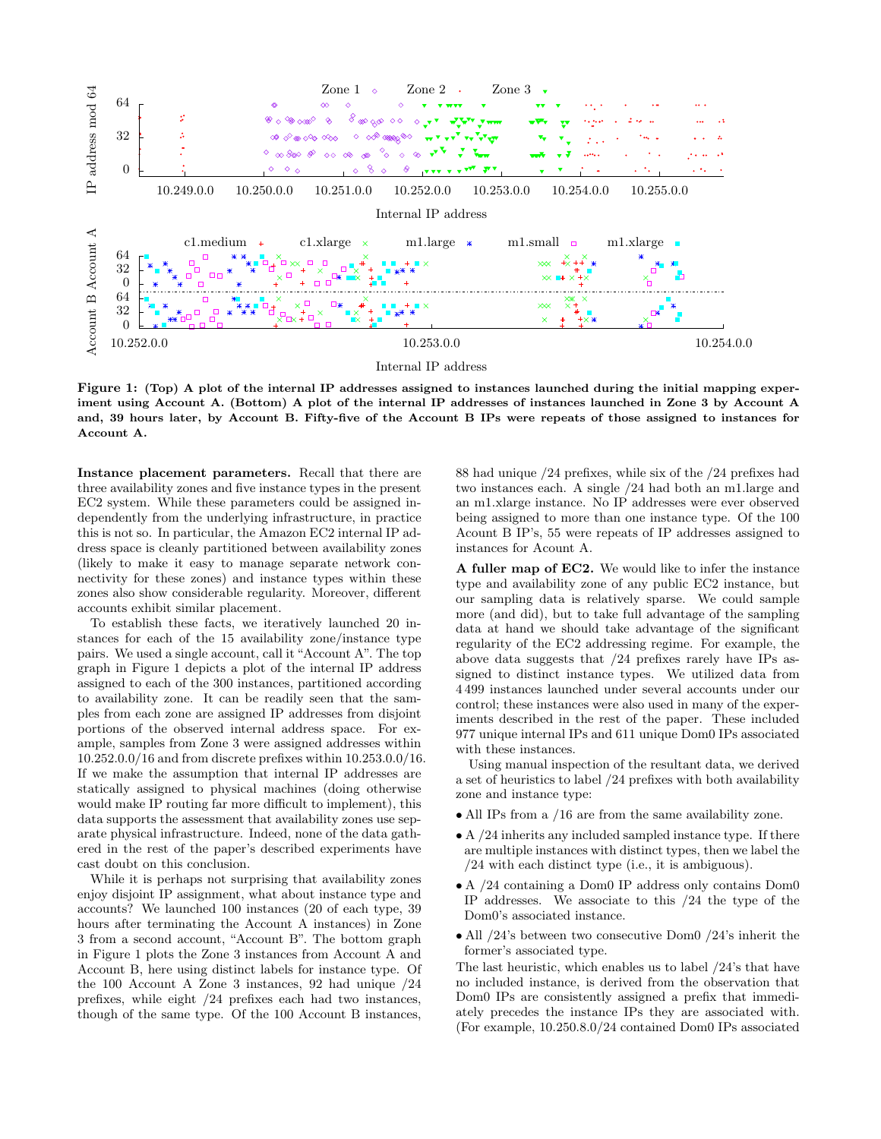

Figure 1: (Top) A plot of the internal IP addresses assigned to instances launched during the initial mapping experiment using Account A. (Bottom) A plot of the internal IP addresses of instances launched in Zone 3 by Account A and, 39 hours later, by Account B. Fifty-five of the Account B IPs were repeats of those assigned to instances for Account A.

Instance placement parameters. Recall that there are three availability zones and five instance types in the present EC2 system. While these parameters could be assigned independently from the underlying infrastructure, in practice this is not so. In particular, the Amazon EC2 internal IP address space is cleanly partitioned between availability zones (likely to make it easy to manage separate network connectivity for these zones) and instance types within these zones also show considerable regularity. Moreover, different accounts exhibit similar placement.

To establish these facts, we iteratively launched 20 instances for each of the 15 availability zone/instance type pairs. We used a single account, call it "Account A". The top graph in Figure 1 depicts a plot of the internal IP address assigned to each of the 300 instances, partitioned according to availability zone. It can be readily seen that the samples from each zone are assigned IP addresses from disjoint portions of the observed internal address space. For example, samples from Zone 3 were assigned addresses within 10.252.0.0/16 and from discrete prefixes within 10.253.0.0/16. If we make the assumption that internal IP addresses are statically assigned to physical machines (doing otherwise would make IP routing far more difficult to implement), this data supports the assessment that availability zones use separate physical infrastructure. Indeed, none of the data gathered in the rest of the paper's described experiments have cast doubt on this conclusion.

While it is perhaps not surprising that availability zones enjoy disjoint IP assignment, what about instance type and accounts? We launched 100 instances (20 of each type, 39 hours after terminating the Account A instances) in Zone 3 from a second account, "Account B". The bottom graph in Figure 1 plots the Zone 3 instances from Account A and Account B, here using distinct labels for instance type. Of the 100 Account A Zone 3 instances, 92 had unique /24 prefixes, while eight /24 prefixes each had two instances, though of the same type. Of the 100 Account B instances,

88 had unique /24 prefixes, while six of the /24 prefixes had two instances each. A single /24 had both an m1.large and an m1.xlarge instance. No IP addresses were ever observed being assigned to more than one instance type. Of the 100 Acount B IP's, 55 were repeats of IP addresses assigned to instances for Acount A.

A fuller map of EC2. We would like to infer the instance type and availability zone of any public EC2 instance, but our sampling data is relatively sparse. We could sample more (and did), but to take full advantage of the sampling data at hand we should take advantage of the significant regularity of the EC2 addressing regime. For example, the above data suggests that /24 prefixes rarely have IPs assigned to distinct instance types. We utilized data from 4 499 instances launched under several accounts under our control; these instances were also used in many of the experiments described in the rest of the paper. These included 977 unique internal IPs and 611 unique Dom0 IPs associated with these instances.

Using manual inspection of the resultant data, we derived a set of heuristics to label /24 prefixes with both availability zone and instance type:

- All IPs from a /16 are from the same availability zone.
- A /24 inherits any included sampled instance type. If there are multiple instances with distinct types, then we label the /24 with each distinct type (i.e., it is ambiguous).
- A /24 containing a Dom0 IP address only contains Dom0 IP addresses. We associate to this /24 the type of the Dom0's associated instance.
- All /24's between two consecutive Dom0 /24's inherit the former's associated type.

The last heuristic, which enables us to label /24's that have no included instance, is derived from the observation that Dom0 IPs are consistently assigned a prefix that immediately precedes the instance IPs they are associated with. (For example, 10.250.8.0/24 contained Dom0 IPs associated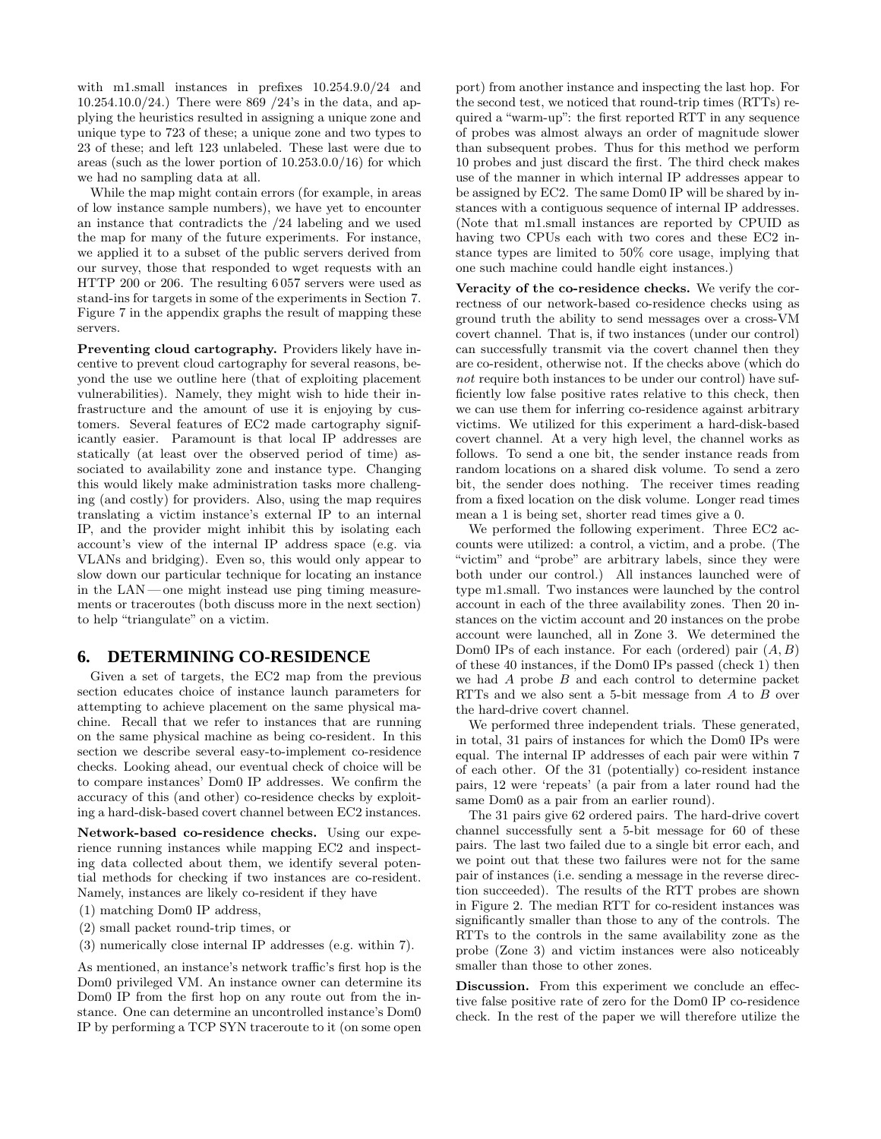with m1.small instances in prefixes 10.254.9.0/24 and 10.254.10.0/24.) There were 869 /24's in the data, and applying the heuristics resulted in assigning a unique zone and unique type to 723 of these; a unique zone and two types to 23 of these; and left 123 unlabeled. These last were due to areas (such as the lower portion of 10.253.0.0/16) for which we had no sampling data at all.

While the map might contain errors (for example, in areas of low instance sample numbers), we have yet to encounter an instance that contradicts the /24 labeling and we used the map for many of the future experiments. For instance, we applied it to a subset of the public servers derived from our survey, those that responded to wget requests with an HTTP 200 or 206. The resulting 6 057 servers were used as stand-ins for targets in some of the experiments in Section 7. Figure 7 in the appendix graphs the result of mapping these servers.

Preventing cloud cartography. Providers likely have incentive to prevent cloud cartography for several reasons, beyond the use we outline here (that of exploiting placement vulnerabilities). Namely, they might wish to hide their infrastructure and the amount of use it is enjoying by customers. Several features of EC2 made cartography significantly easier. Paramount is that local IP addresses are statically (at least over the observed period of time) associated to availability zone and instance type. Changing this would likely make administration tasks more challenging (and costly) for providers. Also, using the map requires translating a victim instance's external IP to an internal IP, and the provider might inhibit this by isolating each account's view of the internal IP address space (e.g. via VLANs and bridging). Even so, this would only appear to slow down our particular technique for locating an instance in the LAN— one might instead use ping timing measurements or traceroutes (both discuss more in the next section) to help "triangulate" on a victim.

## **6. DETERMINING CO-RESIDENCE**

Given a set of targets, the EC2 map from the previous section educates choice of instance launch parameters for attempting to achieve placement on the same physical machine. Recall that we refer to instances that are running on the same physical machine as being co-resident. In this section we describe several easy-to-implement co-residence checks. Looking ahead, our eventual check of choice will be to compare instances' Dom0 IP addresses. We confirm the accuracy of this (and other) co-residence checks by exploiting a hard-disk-based covert channel between EC2 instances.

Network-based co-residence checks. Using our experience running instances while mapping EC2 and inspecting data collected about them, we identify several potential methods for checking if two instances are co-resident. Namely, instances are likely co-resident if they have

- (1) matching Dom0 IP address,
- (2) small packet round-trip times, or
- (3) numerically close internal IP addresses (e.g. within 7).

As mentioned, an instance's network traffic's first hop is the Dom0 privileged VM. An instance owner can determine its Dom0 IP from the first hop on any route out from the instance. One can determine an uncontrolled instance's Dom0 IP by performing a TCP SYN traceroute to it (on some open

port) from another instance and inspecting the last hop. For the second test, we noticed that round-trip times (RTTs) required a "warm-up": the first reported RTT in any sequence of probes was almost always an order of magnitude slower than subsequent probes. Thus for this method we perform 10 probes and just discard the first. The third check makes use of the manner in which internal IP addresses appear to be assigned by EC2. The same Dom0 IP will be shared by instances with a contiguous sequence of internal IP addresses. (Note that m1.small instances are reported by CPUID as having two CPUs each with two cores and these EC2 instance types are limited to 50% core usage, implying that one such machine could handle eight instances.)

Veracity of the co-residence checks. We verify the correctness of our network-based co-residence checks using as ground truth the ability to send messages over a cross-VM covert channel. That is, if two instances (under our control) can successfully transmit via the covert channel then they are co-resident, otherwise not. If the checks above (which do not require both instances to be under our control) have sufficiently low false positive rates relative to this check, then we can use them for inferring co-residence against arbitrary victims. We utilized for this experiment a hard-disk-based covert channel. At a very high level, the channel works as follows. To send a one bit, the sender instance reads from random locations on a shared disk volume. To send a zero bit, the sender does nothing. The receiver times reading from a fixed location on the disk volume. Longer read times mean a 1 is being set, shorter read times give a 0.

We performed the following experiment. Three EC2 accounts were utilized: a control, a victim, and a probe. (The "victim" and "probe" are arbitrary labels, since they were both under our control.) All instances launched were of type m1.small. Two instances were launched by the control account in each of the three availability zones. Then 20 instances on the victim account and 20 instances on the probe account were launched, all in Zone 3. We determined the Dom0 IPs of each instance. For each (ordered) pair  $(A, B)$ of these 40 instances, if the Dom0 IPs passed (check 1) then we had A probe B and each control to determine packet RTTs and we also sent a 5-bit message from A to B over the hard-drive covert channel.

We performed three independent trials. These generated, in total, 31 pairs of instances for which the Dom0 IPs were equal. The internal IP addresses of each pair were within 7 of each other. Of the 31 (potentially) co-resident instance pairs, 12 were 'repeats' (a pair from a later round had the same Dom0 as a pair from an earlier round).

The 31 pairs give 62 ordered pairs. The hard-drive covert channel successfully sent a 5-bit message for 60 of these pairs. The last two failed due to a single bit error each, and we point out that these two failures were not for the same pair of instances (i.e. sending a message in the reverse direction succeeded). The results of the RTT probes are shown in Figure 2. The median RTT for co-resident instances was significantly smaller than those to any of the controls. The RTTs to the controls in the same availability zone as the probe (Zone 3) and victim instances were also noticeably smaller than those to other zones.

Discussion. From this experiment we conclude an effective false positive rate of zero for the Dom0 IP co-residence check. In the rest of the paper we will therefore utilize the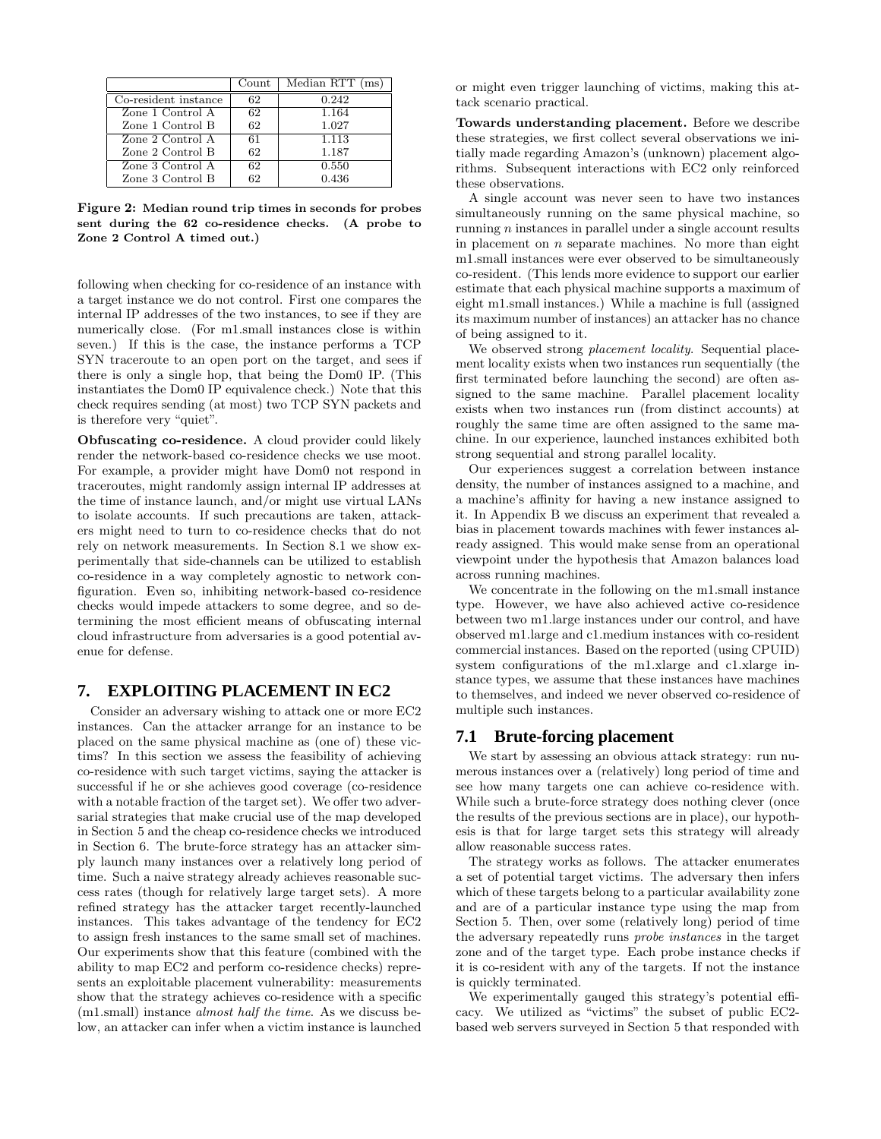|                      | Count | Median RTT $(ms)$ |
|----------------------|-------|-------------------|
| Co-resident instance | 62    | 0.242             |
| Zone 1 Control A     | 62    | 1.164             |
| Zone 1 Control B     | 62    | 1.027             |
| Zone 2 Control A     | 61    | 1.113             |
| Zone 2 Control B     | 62    | 1.187             |
| Zone 3 Control A     | 62    | 0.550             |
| Zone 3 Control B     | 62    | 0.436             |

Figure 2: Median round trip times in seconds for probes sent during the 62 co-residence checks. (A probe to Zone 2 Control A timed out.)

following when checking for co-residence of an instance with a target instance we do not control. First one compares the internal IP addresses of the two instances, to see if they are numerically close. (For m1.small instances close is within seven.) If this is the case, the instance performs a TCP SYN traceroute to an open port on the target, and sees if there is only a single hop, that being the Dom0 IP. (This instantiates the Dom0 IP equivalence check.) Note that this check requires sending (at most) two TCP SYN packets and is therefore very "quiet".

Obfuscating co-residence. A cloud provider could likely render the network-based co-residence checks we use moot. For example, a provider might have Dom0 not respond in traceroutes, might randomly assign internal IP addresses at the time of instance launch, and/or might use virtual LANs to isolate accounts. If such precautions are taken, attackers might need to turn to co-residence checks that do not rely on network measurements. In Section 8.1 we show experimentally that side-channels can be utilized to establish co-residence in a way completely agnostic to network configuration. Even so, inhibiting network-based co-residence checks would impede attackers to some degree, and so determining the most efficient means of obfuscating internal cloud infrastructure from adversaries is a good potential avenue for defense.

#### **7. EXPLOITING PLACEMENT IN EC2**

Consider an adversary wishing to attack one or more EC2 instances. Can the attacker arrange for an instance to be placed on the same physical machine as (one of) these victims? In this section we assess the feasibility of achieving co-residence with such target victims, saying the attacker is successful if he or she achieves good coverage (co-residence with a notable fraction of the target set). We offer two adversarial strategies that make crucial use of the map developed in Section 5 and the cheap co-residence checks we introduced in Section 6. The brute-force strategy has an attacker simply launch many instances over a relatively long period of time. Such a naive strategy already achieves reasonable success rates (though for relatively large target sets). A more refined strategy has the attacker target recently-launched instances. This takes advantage of the tendency for EC2 to assign fresh instances to the same small set of machines. Our experiments show that this feature (combined with the ability to map EC2 and perform co-residence checks) represents an exploitable placement vulnerability: measurements show that the strategy achieves co-residence with a specific (m1.small) instance almost half the time. As we discuss below, an attacker can infer when a victim instance is launched

or might even trigger launching of victims, making this attack scenario practical.

Towards understanding placement. Before we describe these strategies, we first collect several observations we initially made regarding Amazon's (unknown) placement algorithms. Subsequent interactions with EC2 only reinforced these observations.

A single account was never seen to have two instances simultaneously running on the same physical machine, so running n instances in parallel under a single account results in placement on  $n$  separate machines. No more than eight m1.small instances were ever observed to be simultaneously co-resident. (This lends more evidence to support our earlier estimate that each physical machine supports a maximum of eight m1.small instances.) While a machine is full (assigned its maximum number of instances) an attacker has no chance of being assigned to it.

We observed strong *placement locality*. Sequential placement locality exists when two instances run sequentially (the first terminated before launching the second) are often assigned to the same machine. Parallel placement locality exists when two instances run (from distinct accounts) at roughly the same time are often assigned to the same machine. In our experience, launched instances exhibited both strong sequential and strong parallel locality.

Our experiences suggest a correlation between instance density, the number of instances assigned to a machine, and a machine's affinity for having a new instance assigned to it. In Appendix B we discuss an experiment that revealed a bias in placement towards machines with fewer instances already assigned. This would make sense from an operational viewpoint under the hypothesis that Amazon balances load across running machines.

We concentrate in the following on the m1.small instance type. However, we have also achieved active co-residence between two m1.large instances under our control, and have observed m1.large and c1.medium instances with co-resident commercial instances. Based on the reported (using CPUID) system configurations of the m1.xlarge and c1.xlarge instance types, we assume that these instances have machines to themselves, and indeed we never observed co-residence of multiple such instances.

#### **7.1 Brute-forcing placement**

We start by assessing an obvious attack strategy: run numerous instances over a (relatively) long period of time and see how many targets one can achieve co-residence with. While such a brute-force strategy does nothing clever (once the results of the previous sections are in place), our hypothesis is that for large target sets this strategy will already allow reasonable success rates.

The strategy works as follows. The attacker enumerates a set of potential target victims. The adversary then infers which of these targets belong to a particular availability zone and are of a particular instance type using the map from Section 5. Then, over some (relatively long) period of time the adversary repeatedly runs probe instances in the target zone and of the target type. Each probe instance checks if it is co-resident with any of the targets. If not the instance is quickly terminated.

We experimentally gauged this strategy's potential efficacy. We utilized as "victims" the subset of public EC2 based web servers surveyed in Section 5 that responded with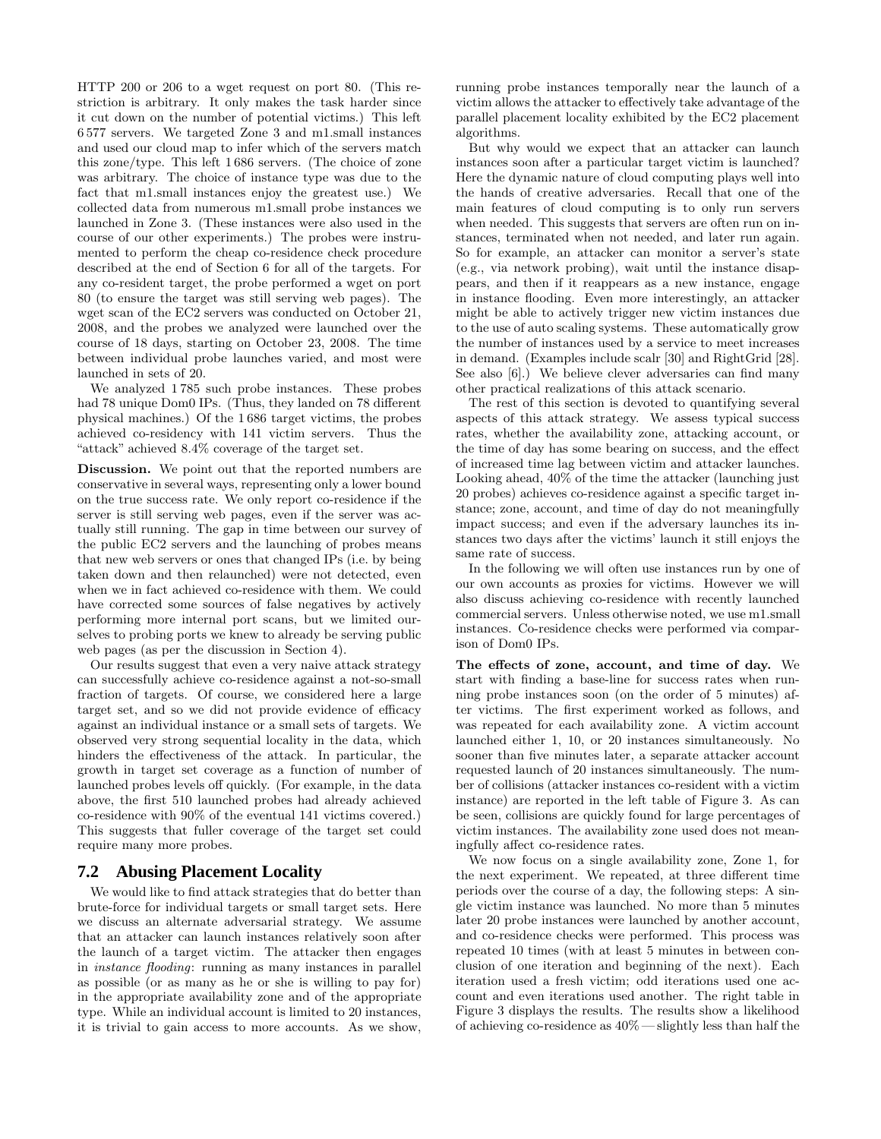HTTP 200 or 206 to a wget request on port 80. (This restriction is arbitrary. It only makes the task harder since it cut down on the number of potential victims.) This left 6 577 servers. We targeted Zone 3 and m1.small instances and used our cloud map to infer which of the servers match this zone/type. This left 1 686 servers. (The choice of zone was arbitrary. The choice of instance type was due to the fact that m1.small instances enjoy the greatest use.) We collected data from numerous m1.small probe instances we launched in Zone 3. (These instances were also used in the course of our other experiments.) The probes were instrumented to perform the cheap co-residence check procedure described at the end of Section 6 for all of the targets. For any co-resident target, the probe performed a wget on port 80 (to ensure the target was still serving web pages). The wget scan of the EC2 servers was conducted on October 21, 2008, and the probes we analyzed were launched over the course of 18 days, starting on October 23, 2008. The time between individual probe launches varied, and most were launched in sets of 20.

We analyzed 1 785 such probe instances. These probes had 78 unique Dom0 IPs. (Thus, they landed on 78 different physical machines.) Of the 1 686 target victims, the probes achieved co-residency with 141 victim servers. Thus the "attack" achieved 8.4% coverage of the target set.

Discussion. We point out that the reported numbers are conservative in several ways, representing only a lower bound on the true success rate. We only report co-residence if the server is still serving web pages, even if the server was actually still running. The gap in time between our survey of the public EC2 servers and the launching of probes means that new web servers or ones that changed IPs (i.e. by being taken down and then relaunched) were not detected, even when we in fact achieved co-residence with them. We could have corrected some sources of false negatives by actively performing more internal port scans, but we limited ourselves to probing ports we knew to already be serving public web pages (as per the discussion in Section 4).

Our results suggest that even a very naive attack strategy can successfully achieve co-residence against a not-so-small fraction of targets. Of course, we considered here a large target set, and so we did not provide evidence of efficacy against an individual instance or a small sets of targets. We observed very strong sequential locality in the data, which hinders the effectiveness of the attack. In particular, the growth in target set coverage as a function of number of launched probes levels off quickly. (For example, in the data above, the first 510 launched probes had already achieved co-residence with 90% of the eventual 141 victims covered.) This suggests that fuller coverage of the target set could require many more probes.

#### **7.2 Abusing Placement Locality**

We would like to find attack strategies that do better than brute-force for individual targets or small target sets. Here we discuss an alternate adversarial strategy. We assume that an attacker can launch instances relatively soon after the launch of a target victim. The attacker then engages in instance flooding: running as many instances in parallel as possible (or as many as he or she is willing to pay for) in the appropriate availability zone and of the appropriate type. While an individual account is limited to 20 instances, it is trivial to gain access to more accounts. As we show,

running probe instances temporally near the launch of a victim allows the attacker to effectively take advantage of the parallel placement locality exhibited by the EC2 placement algorithms.

But why would we expect that an attacker can launch instances soon after a particular target victim is launched? Here the dynamic nature of cloud computing plays well into the hands of creative adversaries. Recall that one of the main features of cloud computing is to only run servers when needed. This suggests that servers are often run on instances, terminated when not needed, and later run again. So for example, an attacker can monitor a server's state (e.g., via network probing), wait until the instance disappears, and then if it reappears as a new instance, engage in instance flooding. Even more interestingly, an attacker might be able to actively trigger new victim instances due to the use of auto scaling systems. These automatically grow the number of instances used by a service to meet increases in demand. (Examples include scalr [30] and RightGrid [28]. See also [6].) We believe clever adversaries can find many other practical realizations of this attack scenario.

The rest of this section is devoted to quantifying several aspects of this attack strategy. We assess typical success rates, whether the availability zone, attacking account, or the time of day has some bearing on success, and the effect of increased time lag between victim and attacker launches. Looking ahead, 40% of the time the attacker (launching just 20 probes) achieves co-residence against a specific target instance; zone, account, and time of day do not meaningfully impact success; and even if the adversary launches its instances two days after the victims' launch it still enjoys the same rate of success.

In the following we will often use instances run by one of our own accounts as proxies for victims. However we will also discuss achieving co-residence with recently launched commercial servers. Unless otherwise noted, we use m1.small instances. Co-residence checks were performed via comparison of Dom0 IPs.

The effects of zone, account, and time of day. We start with finding a base-line for success rates when running probe instances soon (on the order of 5 minutes) after victims. The first experiment worked as follows, and was repeated for each availability zone. A victim account launched either 1, 10, or 20 instances simultaneously. No sooner than five minutes later, a separate attacker account requested launch of 20 instances simultaneously. The number of collisions (attacker instances co-resident with a victim instance) are reported in the left table of Figure 3. As can be seen, collisions are quickly found for large percentages of victim instances. The availability zone used does not meaningfully affect co-residence rates.

We now focus on a single availability zone, Zone 1, for the next experiment. We repeated, at three different time periods over the course of a day, the following steps: A single victim instance was launched. No more than 5 minutes later 20 probe instances were launched by another account, and co-residence checks were performed. This process was repeated 10 times (with at least 5 minutes in between conclusion of one iteration and beginning of the next). Each iteration used a fresh victim; odd iterations used one account and even iterations used another. The right table in Figure 3 displays the results. The results show a likelihood of achieving co-residence as 40%— slightly less than half the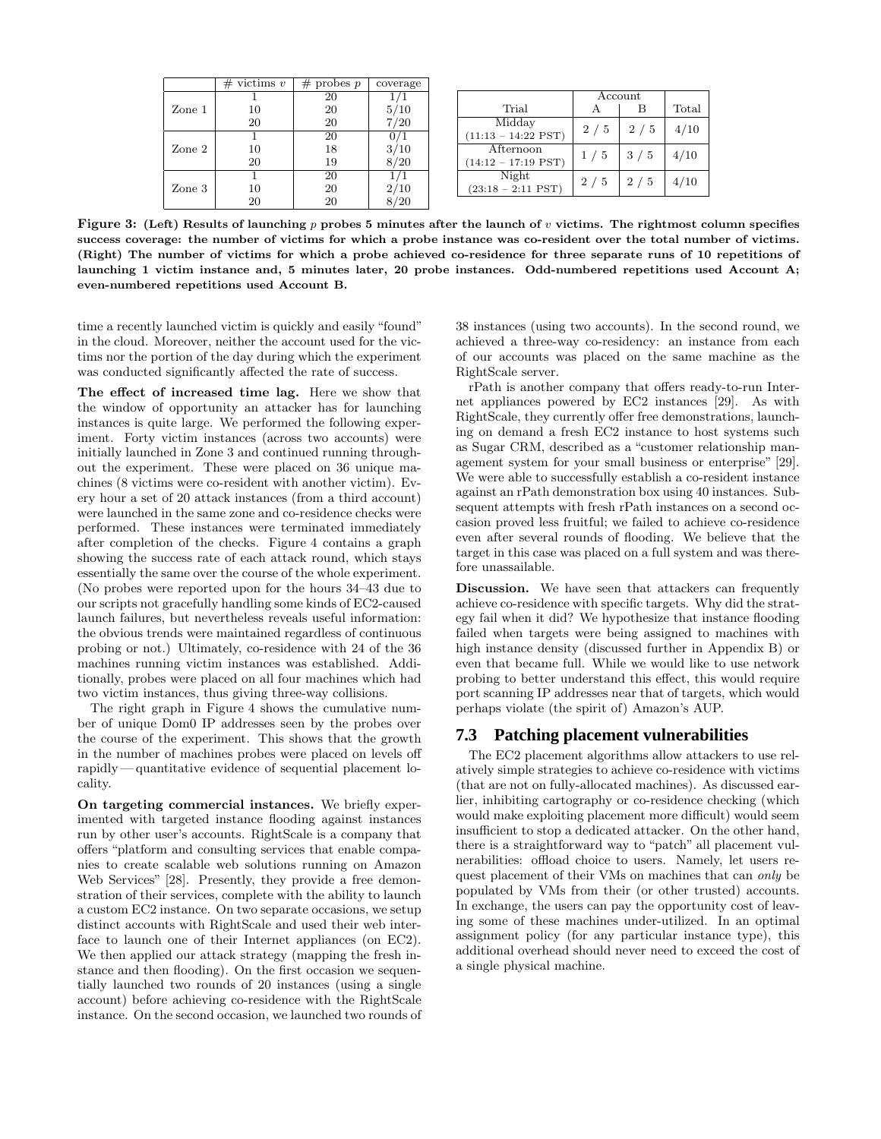|        | victims $v$<br># | #<br>probes $p$ | coverage |                       |          |                      |       |
|--------|------------------|-----------------|----------|-----------------------|----------|----------------------|-------|
|        |                  | 20              |          |                       | Account  |                      |       |
| Zone 1 | 10               | 20              | 5/10     | Trial                 | А        | B                    | Total |
|        | 20               | 20              | 7/20     | Midday                | 2/5      | /5<br>$\overline{2}$ | 4/10  |
| Zone 2 |                  | 20              | 0/1      | $(11:13 - 14:22$ PST) |          |                      |       |
|        | 10               | 18              | 3/10     | Afternoon             | 1/5      | 3/5                  | 4/10  |
|        | 20               | 19              | 8/20     | $(14:12 - 17:19$ PST) |          |                      |       |
| Zone 3 |                  | 20              |          | Night                 | 2/<br>ั5 | 2/5                  | 4/10  |
|        | 10               | 20              | 2/10     | $(23:18 - 2:11$ PST)  |          |                      |       |
|        | 20               | 20              | 8/20     |                       |          |                      |       |

Figure 3: (Left) Results of launching p probes 5 minutes after the launch of v victims. The rightmost column specifies success coverage: the number of victims for which a probe instance was co-resident over the total number of victims. (Right) The number of victims for which a probe achieved co-residence for three separate runs of 10 repetitions of launching 1 victim instance and, 5 minutes later, 20 probe instances. Odd-numbered repetitions used Account A; even-numbered repetitions used Account B.

time a recently launched victim is quickly and easily "found" in the cloud. Moreover, neither the account used for the victims nor the portion of the day during which the experiment was conducted significantly affected the rate of success.

The effect of increased time lag. Here we show that the window of opportunity an attacker has for launching instances is quite large. We performed the following experiment. Forty victim instances (across two accounts) were initially launched in Zone 3 and continued running throughout the experiment. These were placed on 36 unique machines (8 victims were co-resident with another victim). Every hour a set of 20 attack instances (from a third account) were launched in the same zone and co-residence checks were performed. These instances were terminated immediately after completion of the checks. Figure 4 contains a graph showing the success rate of each attack round, which stays essentially the same over the course of the whole experiment. (No probes were reported upon for the hours 34–43 due to our scripts not gracefully handling some kinds of EC2-caused launch failures, but nevertheless reveals useful information: the obvious trends were maintained regardless of continuous probing or not.) Ultimately, co-residence with 24 of the 36 machines running victim instances was established. Additionally, probes were placed on all four machines which had two victim instances, thus giving three-way collisions.

The right graph in Figure 4 shows the cumulative number of unique Dom0 IP addresses seen by the probes over the course of the experiment. This shows that the growth in the number of machines probes were placed on levels off rapidly— quantitative evidence of sequential placement locality.

On targeting commercial instances. We briefly experimented with targeted instance flooding against instances run by other user's accounts. RightScale is a company that offers "platform and consulting services that enable companies to create scalable web solutions running on Amazon Web Services" [28]. Presently, they provide a free demonstration of their services, complete with the ability to launch a custom EC2 instance. On two separate occasions, we setup distinct accounts with RightScale and used their web interface to launch one of their Internet appliances (on EC2). We then applied our attack strategy (mapping the fresh instance and then flooding). On the first occasion we sequentially launched two rounds of 20 instances (using a single account) before achieving co-residence with the RightScale instance. On the second occasion, we launched two rounds of 38 instances (using two accounts). In the second round, we achieved a three-way co-residency: an instance from each of our accounts was placed on the same machine as the RightScale server.

rPath is another company that offers ready-to-run Internet appliances powered by EC2 instances [29]. As with RightScale, they currently offer free demonstrations, launching on demand a fresh EC2 instance to host systems such as Sugar CRM, described as a "customer relationship management system for your small business or enterprise" [29]. We were able to successfully establish a co-resident instance against an rPath demonstration box using 40 instances. Subsequent attempts with fresh rPath instances on a second occasion proved less fruitful; we failed to achieve co-residence even after several rounds of flooding. We believe that the target in this case was placed on a full system and was therefore unassailable.

Discussion. We have seen that attackers can frequently achieve co-residence with specific targets. Why did the strategy fail when it did? We hypothesize that instance flooding failed when targets were being assigned to machines with high instance density (discussed further in Appendix B) or even that became full. While we would like to use network probing to better understand this effect, this would require port scanning IP addresses near that of targets, which would perhaps violate (the spirit of) Amazon's AUP.

#### **7.3 Patching placement vulnerabilities**

The EC2 placement algorithms allow attackers to use relatively simple strategies to achieve co-residence with victims (that are not on fully-allocated machines). As discussed earlier, inhibiting cartography or co-residence checking (which would make exploiting placement more difficult) would seem insufficient to stop a dedicated attacker. On the other hand, there is a straightforward way to "patch" all placement vulnerabilities: offload choice to users. Namely, let users request placement of their VMs on machines that can only be populated by VMs from their (or other trusted) accounts. In exchange, the users can pay the opportunity cost of leaving some of these machines under-utilized. In an optimal assignment policy (for any particular instance type), this additional overhead should never need to exceed the cost of a single physical machine.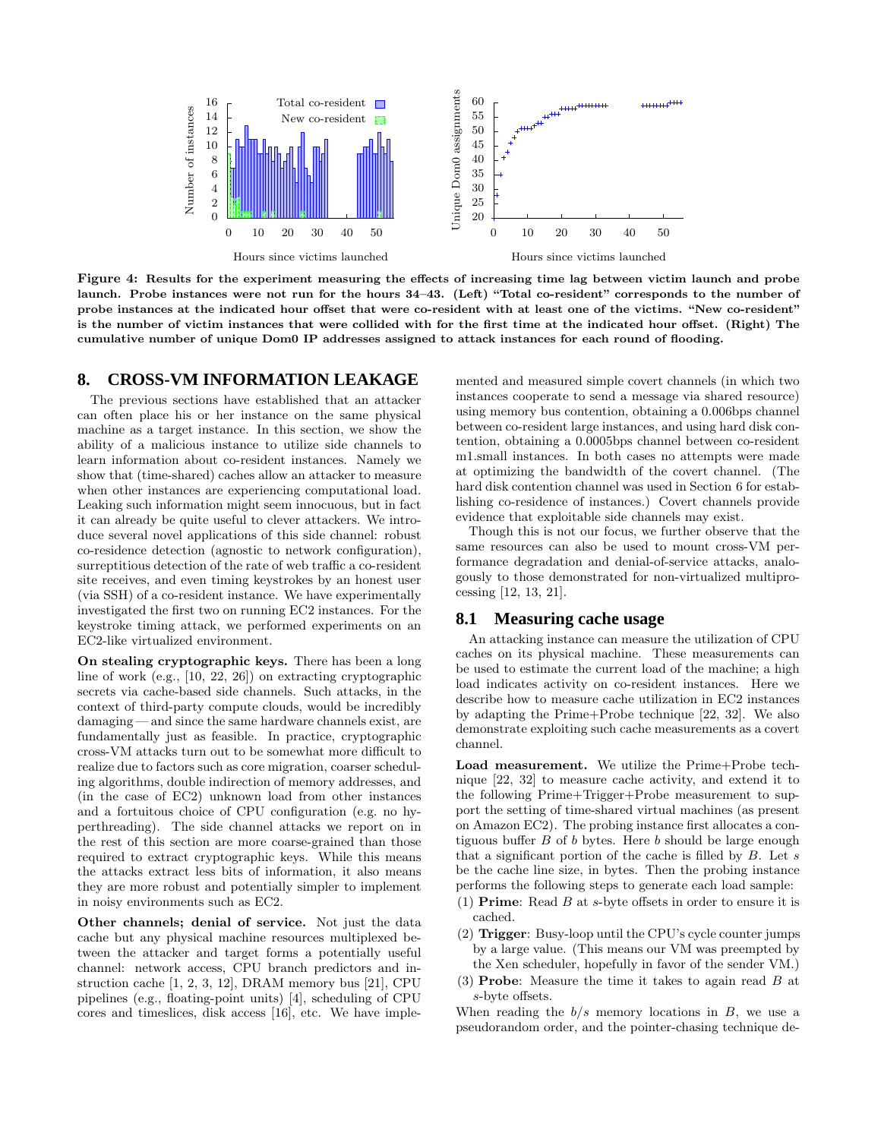

Figure 4: Results for the experiment measuring the effects of increasing time lag between victim launch and probe launch. Probe instances were not run for the hours 34–43. (Left) "Total co-resident" corresponds to the number of probe instances at the indicated hour offset that were co-resident with at least one of the victims. "New co-resident" is the number of victim instances that were collided with for the first time at the indicated hour offset. (Right) The cumulative number of unique Dom0 IP addresses assigned to attack instances for each round of flooding.

#### **8. CROSS-VM INFORMATION LEAKAGE**

The previous sections have established that an attacker can often place his or her instance on the same physical machine as a target instance. In this section, we show the ability of a malicious instance to utilize side channels to learn information about co-resident instances. Namely we show that (time-shared) caches allow an attacker to measure when other instances are experiencing computational load. Leaking such information might seem innocuous, but in fact it can already be quite useful to clever attackers. We introduce several novel applications of this side channel: robust co-residence detection (agnostic to network configuration), surreptitious detection of the rate of web traffic a co-resident site receives, and even timing keystrokes by an honest user (via SSH) of a co-resident instance. We have experimentally investigated the first two on running EC2 instances. For the keystroke timing attack, we performed experiments on an EC2-like virtualized environment.

On stealing cryptographic keys. There has been a long line of work (e.g., [10, 22, 26]) on extracting cryptographic secrets via cache-based side channels. Such attacks, in the context of third-party compute clouds, would be incredibly damaging— and since the same hardware channels exist, are fundamentally just as feasible. In practice, cryptographic cross-VM attacks turn out to be somewhat more difficult to realize due to factors such as core migration, coarser scheduling algorithms, double indirection of memory addresses, and (in the case of EC2) unknown load from other instances and a fortuitous choice of CPU configuration (e.g. no hyperthreading). The side channel attacks we report on in the rest of this section are more coarse-grained than those required to extract cryptographic keys. While this means the attacks extract less bits of information, it also means they are more robust and potentially simpler to implement in noisy environments such as EC2.

Other channels; denial of service. Not just the data cache but any physical machine resources multiplexed between the attacker and target forms a potentially useful channel: network access, CPU branch predictors and instruction cache [1, 2, 3, 12], DRAM memory bus [21], CPU pipelines (e.g., floating-point units) [4], scheduling of CPU cores and timeslices, disk access [16], etc. We have implemented and measured simple covert channels (in which two instances cooperate to send a message via shared resource) using memory bus contention, obtaining a 0.006bps channel between co-resident large instances, and using hard disk contention, obtaining a 0.0005bps channel between co-resident m1.small instances. In both cases no attempts were made at optimizing the bandwidth of the covert channel. (The hard disk contention channel was used in Section 6 for establishing co-residence of instances.) Covert channels provide evidence that exploitable side channels may exist.

Though this is not our focus, we further observe that the same resources can also be used to mount cross-VM performance degradation and denial-of-service attacks, analogously to those demonstrated for non-virtualized multiprocessing [12, 13, 21].

#### **8.1 Measuring cache usage**

An attacking instance can measure the utilization of CPU caches on its physical machine. These measurements can be used to estimate the current load of the machine; a high load indicates activity on co-resident instances. Here we describe how to measure cache utilization in EC2 instances by adapting the Prime+Probe technique [22, 32]. We also demonstrate exploiting such cache measurements as a covert channel.

Load measurement. We utilize the Prime+Probe technique [22, 32] to measure cache activity, and extend it to the following Prime+Trigger+Probe measurement to support the setting of time-shared virtual machines (as present on Amazon EC2). The probing instance first allocates a contiguous buffer B of b bytes. Here b should be large enough that a significant portion of the cache is filled by  $B$ . Let  $s$ be the cache line size, in bytes. Then the probing instance performs the following steps to generate each load sample:

- (1) **Prime**: Read  $B$  at  $s$ -byte offsets in order to ensure it is cached.
- (2) Trigger: Busy-loop until the CPU's cycle counter jumps by a large value. (This means our VM was preempted by the Xen scheduler, hopefully in favor of the sender VM.)
- (3) Probe: Measure the time it takes to again read B at s-byte offsets.

When reading the  $b/s$  memory locations in  $B$ , we use a pseudorandom order, and the pointer-chasing technique de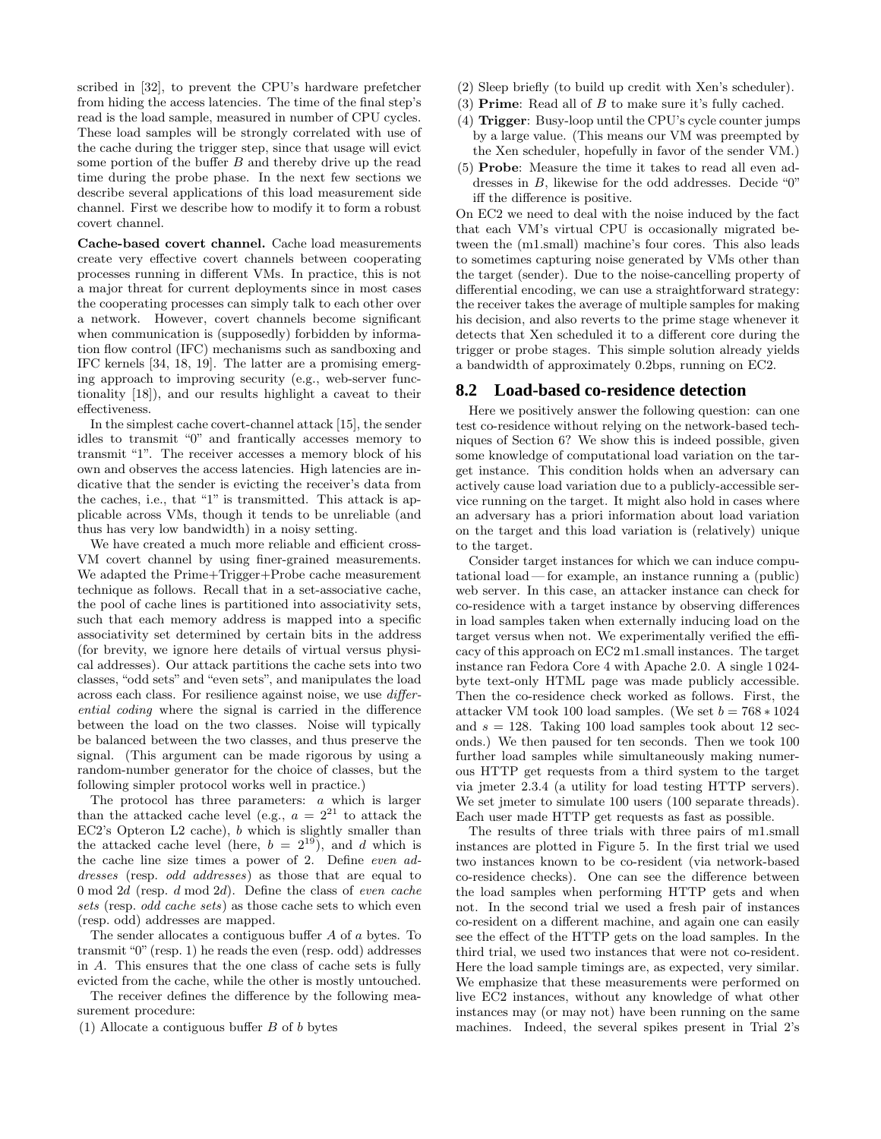scribed in [32], to prevent the CPU's hardware prefetcher from hiding the access latencies. The time of the final step's read is the load sample, measured in number of CPU cycles. These load samples will be strongly correlated with use of the cache during the trigger step, since that usage will evict some portion of the buffer  $B$  and thereby drive up the read time during the probe phase. In the next few sections we describe several applications of this load measurement side channel. First we describe how to modify it to form a robust covert channel.

Cache-based covert channel. Cache load measurements create very effective covert channels between cooperating processes running in different VMs. In practice, this is not a major threat for current deployments since in most cases the cooperating processes can simply talk to each other over a network. However, covert channels become significant when communication is (supposedly) forbidden by information flow control (IFC) mechanisms such as sandboxing and IFC kernels [34, 18, 19]. The latter are a promising emerging approach to improving security (e.g., web-server functionality [18]), and our results highlight a caveat to their effectiveness.

In the simplest cache covert-channel attack [15], the sender idles to transmit "0" and frantically accesses memory to transmit "1". The receiver accesses a memory block of his own and observes the access latencies. High latencies are indicative that the sender is evicting the receiver's data from the caches, i.e., that "1" is transmitted. This attack is applicable across VMs, though it tends to be unreliable (and thus has very low bandwidth) in a noisy setting.

We have created a much more reliable and efficient cross-VM covert channel by using finer-grained measurements. We adapted the Prime+Trigger+Probe cache measurement technique as follows. Recall that in a set-associative cache, the pool of cache lines is partitioned into associativity sets, such that each memory address is mapped into a specific associativity set determined by certain bits in the address (for brevity, we ignore here details of virtual versus physical addresses). Our attack partitions the cache sets into two classes, "odd sets" and "even sets", and manipulates the load across each class. For resilience against noise, we use differential coding where the signal is carried in the difference between the load on the two classes. Noise will typically be balanced between the two classes, and thus preserve the signal. (This argument can be made rigorous by using a random-number generator for the choice of classes, but the following simpler protocol works well in practice.)

The protocol has three parameters: a which is larger than the attacked cache level (e.g.,  $a = 2^{21}$  to attack the EC2's Opteron L2 cache), b which is slightly smaller than the attacked cache level (here,  $b = 2^{19}$ ), and d which is the cache line size times a power of 2. Define even addresses (resp. odd addresses) as those that are equal to 0 mod 2d (resp.  $d \mod 2d$ ). Define the class of even cache sets (resp. *odd cache sets*) as those cache sets to which even (resp. odd) addresses are mapped.

The sender allocates a contiguous buffer A of a bytes. To transmit "0" (resp. 1) he reads the even (resp. odd) addresses in A. This ensures that the one class of cache sets is fully evicted from the cache, while the other is mostly untouched.

The receiver defines the difference by the following measurement procedure:

(1) Allocate a contiguous buffer  $B$  of  $b$  bytes

- (2) Sleep briefly (to build up credit with Xen's scheduler).
- (3) **Prime:** Read all of  $B$  to make sure it's fully cached.
- (4) Trigger: Busy-loop until the CPU's cycle counter jumps by a large value. (This means our VM was preempted by the Xen scheduler, hopefully in favor of the sender VM.)
- (5) Probe: Measure the time it takes to read all even addresses in B, likewise for the odd addresses. Decide "0" iff the difference is positive.

On EC2 we need to deal with the noise induced by the fact that each VM's virtual CPU is occasionally migrated between the (m1.small) machine's four cores. This also leads to sometimes capturing noise generated by VMs other than the target (sender). Due to the noise-cancelling property of differential encoding, we can use a straightforward strategy: the receiver takes the average of multiple samples for making his decision, and also reverts to the prime stage whenever it detects that Xen scheduled it to a different core during the trigger or probe stages. This simple solution already yields a bandwidth of approximately 0.2bps, running on EC2.

#### **8.2 Load-based co-residence detection**

Here we positively answer the following question: can one test co-residence without relying on the network-based techniques of Section 6? We show this is indeed possible, given some knowledge of computational load variation on the target instance. This condition holds when an adversary can actively cause load variation due to a publicly-accessible service running on the target. It might also hold in cases where an adversary has a priori information about load variation on the target and this load variation is (relatively) unique to the target.

Consider target instances for which we can induce computational load— for example, an instance running a (public) web server. In this case, an attacker instance can check for co-residence with a target instance by observing differences in load samples taken when externally inducing load on the target versus when not. We experimentally verified the efficacy of this approach on EC2 m1.small instances. The target instance ran Fedora Core 4 with Apache 2.0. A single 1 024 byte text-only HTML page was made publicly accessible. Then the co-residence check worked as follows. First, the attacker VM took 100 load samples. (We set  $b = 768 * 1024$ and  $s = 128$ . Taking 100 load samples took about 12 seconds.) We then paused for ten seconds. Then we took 100 further load samples while simultaneously making numerous HTTP get requests from a third system to the target via jmeter 2.3.4 (a utility for load testing HTTP servers). We set jmeter to simulate 100 users (100 separate threads). Each user made HTTP get requests as fast as possible.

The results of three trials with three pairs of m1.small instances are plotted in Figure 5. In the first trial we used two instances known to be co-resident (via network-based co-residence checks). One can see the difference between the load samples when performing HTTP gets and when not. In the second trial we used a fresh pair of instances co-resident on a different machine, and again one can easily see the effect of the HTTP gets on the load samples. In the third trial, we used two instances that were not co-resident. Here the load sample timings are, as expected, very similar. We emphasize that these measurements were performed on live EC2 instances, without any knowledge of what other instances may (or may not) have been running on the same machines. Indeed, the several spikes present in Trial 2's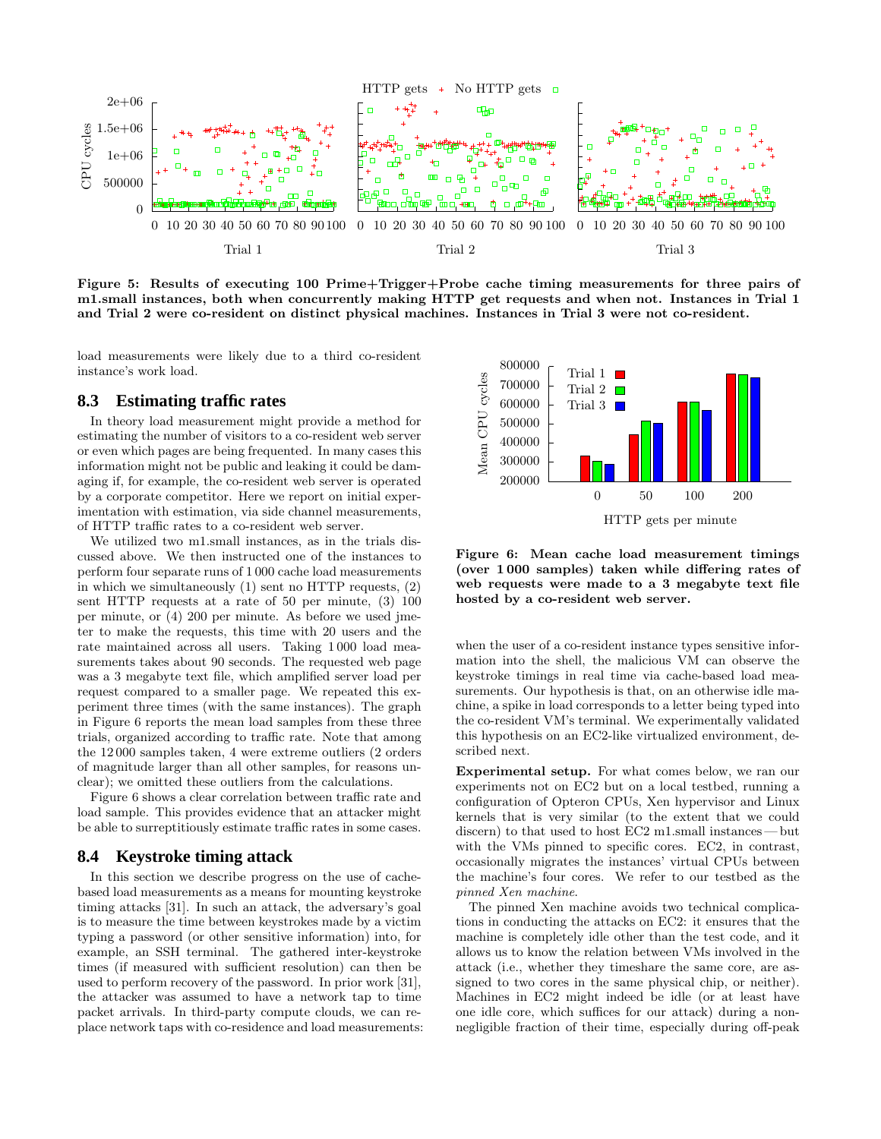

Figure 5: Results of executing 100 Prime+Trigger+Probe cache timing measurements for three pairs of m1.small instances, both when concurrently making HTTP get requests and when not. Instances in Trial 1 and Trial 2 were co-resident on distinct physical machines. Instances in Trial 3 were not co-resident.

load measurements were likely due to a third co-resident instance's work load.

#### **8.3 Estimating traffic rates**

In theory load measurement might provide a method for estimating the number of visitors to a co-resident web server or even which pages are being frequented. In many cases this information might not be public and leaking it could be damaging if, for example, the co-resident web server is operated by a corporate competitor. Here we report on initial experimentation with estimation, via side channel measurements, of HTTP traffic rates to a co-resident web server.

We utilized two m1.small instances, as in the trials discussed above. We then instructed one of the instances to perform four separate runs of 1 000 cache load measurements in which we simultaneously (1) sent no HTTP requests, (2) sent HTTP requests at a rate of 50 per minute, (3) 100 per minute, or (4) 200 per minute. As before we used jmeter to make the requests, this time with 20 users and the rate maintained across all users. Taking 1 000 load measurements takes about 90 seconds. The requested web page was a 3 megabyte text file, which amplified server load per request compared to a smaller page. We repeated this experiment three times (with the same instances). The graph in Figure 6 reports the mean load samples from these three trials, organized according to traffic rate. Note that among the 12 000 samples taken, 4 were extreme outliers (2 orders of magnitude larger than all other samples, for reasons unclear); we omitted these outliers from the calculations.

Figure 6 shows a clear correlation between traffic rate and load sample. This provides evidence that an attacker might be able to surreptitiously estimate traffic rates in some cases.

#### **8.4 Keystroke timing attack**

In this section we describe progress on the use of cachebased load measurements as a means for mounting keystroke timing attacks [31]. In such an attack, the adversary's goal is to measure the time between keystrokes made by a victim typing a password (or other sensitive information) into, for example, an SSH terminal. The gathered inter-keystroke times (if measured with sufficient resolution) can then be used to perform recovery of the password. In prior work [31], the attacker was assumed to have a network tap to time packet arrivals. In third-party compute clouds, we can replace network taps with co-residence and load measurements:



Figure 6: Mean cache load measurement timings (over 1 000 samples) taken while differing rates of web requests were made to a 3 megabyte text file hosted by a co-resident web server.

when the user of a co-resident instance types sensitive information into the shell, the malicious VM can observe the keystroke timings in real time via cache-based load measurements. Our hypothesis is that, on an otherwise idle machine, a spike in load corresponds to a letter being typed into the co-resident VM's terminal. We experimentally validated this hypothesis on an EC2-like virtualized environment, described next.

Experimental setup. For what comes below, we ran our experiments not on EC2 but on a local testbed, running a configuration of Opteron CPUs, Xen hypervisor and Linux kernels that is very similar (to the extent that we could discern) to that used to host EC2 m1.small instances— but with the VMs pinned to specific cores. EC2, in contrast, occasionally migrates the instances' virtual CPUs between the machine's four cores. We refer to our testbed as the pinned Xen machine.

The pinned Xen machine avoids two technical complications in conducting the attacks on EC2: it ensures that the machine is completely idle other than the test code, and it allows us to know the relation between VMs involved in the attack (i.e., whether they timeshare the same core, are assigned to two cores in the same physical chip, or neither). Machines in EC2 might indeed be idle (or at least have one idle core, which suffices for our attack) during a nonnegligible fraction of their time, especially during off-peak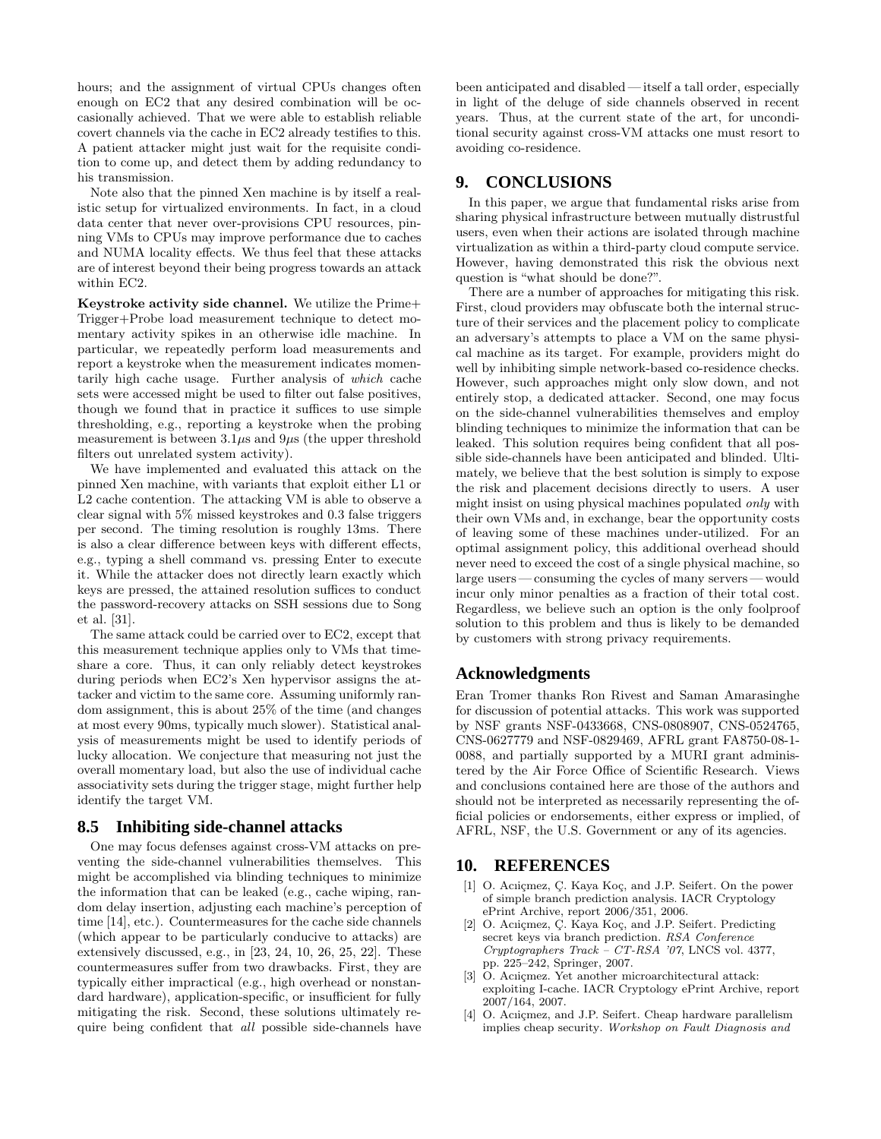hours; and the assignment of virtual CPUs changes often enough on EC2 that any desired combination will be occasionally achieved. That we were able to establish reliable covert channels via the cache in EC2 already testifies to this. A patient attacker might just wait for the requisite condition to come up, and detect them by adding redundancy to his transmission.

Note also that the pinned Xen machine is by itself a realistic setup for virtualized environments. In fact, in a cloud data center that never over-provisions CPU resources, pinning VMs to CPUs may improve performance due to caches and NUMA locality effects. We thus feel that these attacks are of interest beyond their being progress towards an attack within EC2.

Keystroke activity side channel. We utilize the Prime+ Trigger+Probe load measurement technique to detect momentary activity spikes in an otherwise idle machine. In particular, we repeatedly perform load measurements and report a keystroke when the measurement indicates momentarily high cache usage. Further analysis of which cache sets were accessed might be used to filter out false positives, though we found that in practice it suffices to use simple thresholding, e.g., reporting a keystroke when the probing measurement is between  $3.1\mu s$  and  $9\mu s$  (the upper threshold filters out unrelated system activity).

We have implemented and evaluated this attack on the pinned Xen machine, with variants that exploit either L1 or L2 cache contention. The attacking VM is able to observe a clear signal with 5% missed keystrokes and 0.3 false triggers per second. The timing resolution is roughly 13ms. There is also a clear difference between keys with different effects, e.g., typing a shell command vs. pressing Enter to execute it. While the attacker does not directly learn exactly which keys are pressed, the attained resolution suffices to conduct the password-recovery attacks on SSH sessions due to Song et al. [31].

The same attack could be carried over to EC2, except that this measurement technique applies only to VMs that timeshare a core. Thus, it can only reliably detect keystrokes during periods when EC2's Xen hypervisor assigns the attacker and victim to the same core. Assuming uniformly random assignment, this is about 25% of the time (and changes at most every 90ms, typically much slower). Statistical analysis of measurements might be used to identify periods of lucky allocation. We conjecture that measuring not just the overall momentary load, but also the use of individual cache associativity sets during the trigger stage, might further help identify the target VM.

#### **8.5 Inhibiting side-channel attacks**

One may focus defenses against cross-VM attacks on preventing the side-channel vulnerabilities themselves. This might be accomplished via blinding techniques to minimize the information that can be leaked (e.g., cache wiping, random delay insertion, adjusting each machine's perception of time [14], etc.). Countermeasures for the cache side channels (which appear to be particularly conducive to attacks) are extensively discussed, e.g., in [23, 24, 10, 26, 25, 22]. These countermeasures suffer from two drawbacks. First, they are typically either impractical (e.g., high overhead or nonstandard hardware), application-specific, or insufficient for fully mitigating the risk. Second, these solutions ultimately require being confident that all possible side-channels have

been anticipated and disabled— itself a tall order, especially in light of the deluge of side channels observed in recent years. Thus, at the current state of the art, for unconditional security against cross-VM attacks one must resort to avoiding co-residence.

## **9. CONCLUSIONS**

In this paper, we argue that fundamental risks arise from sharing physical infrastructure between mutually distrustful users, even when their actions are isolated through machine virtualization as within a third-party cloud compute service. However, having demonstrated this risk the obvious next question is "what should be done?".

There are a number of approaches for mitigating this risk. First, cloud providers may obfuscate both the internal structure of their services and the placement policy to complicate an adversary's attempts to place a VM on the same physical machine as its target. For example, providers might do well by inhibiting simple network-based co-residence checks. However, such approaches might only slow down, and not entirely stop, a dedicated attacker. Second, one may focus on the side-channel vulnerabilities themselves and employ blinding techniques to minimize the information that can be leaked. This solution requires being confident that all possible side-channels have been anticipated and blinded. Ultimately, we believe that the best solution is simply to expose the risk and placement decisions directly to users. A user might insist on using physical machines populated only with their own VMs and, in exchange, bear the opportunity costs of leaving some of these machines under-utilized. For an optimal assignment policy, this additional overhead should never need to exceed the cost of a single physical machine, so large users— consuming the cycles of many servers— would incur only minor penalties as a fraction of their total cost. Regardless, we believe such an option is the only foolproof solution to this problem and thus is likely to be demanded by customers with strong privacy requirements.

#### **Acknowledgments**

Eran Tromer thanks Ron Rivest and Saman Amarasinghe for discussion of potential attacks. This work was supported by NSF grants NSF-0433668, CNS-0808907, CNS-0524765, CNS-0627779 and NSF-0829469, AFRL grant FA8750-08-1- 0088, and partially supported by a MURI grant administered by the Air Force Office of Scientific Research. Views and conclusions contained here are those of the authors and should not be interpreted as necessarily representing the official policies or endorsements, either express or implied, of AFRL, NSF, the U.S. Government or any of its agencies.

#### **10. REFERENCES**

- [1] O. Aciiçmez, Ç. Kaya Koç, and J.P. Seifert. On the power of simple branch prediction analysis. IACR Cryptology ePrint Archive, report 2006/351, 2006.
- [2] O. Acıiçmez, Ç. Kaya Koç, and J.P. Seifert. Predicting secret keys via branch prediction. RSA Conference Cryptographers Track – CT-RSA '07, LNCS vol. 4377, pp. 225–242, Springer, 2007.
- [3] O. Aciicmez. Yet another microarchitectural attack: exploiting I-cache. IACR Cryptology ePrint Archive, report 2007/164, 2007.
- [4] O. Aciiçmez, and J.P. Seifert. Cheap hardware parallelism implies cheap security. Workshop on Fault Diagnosis and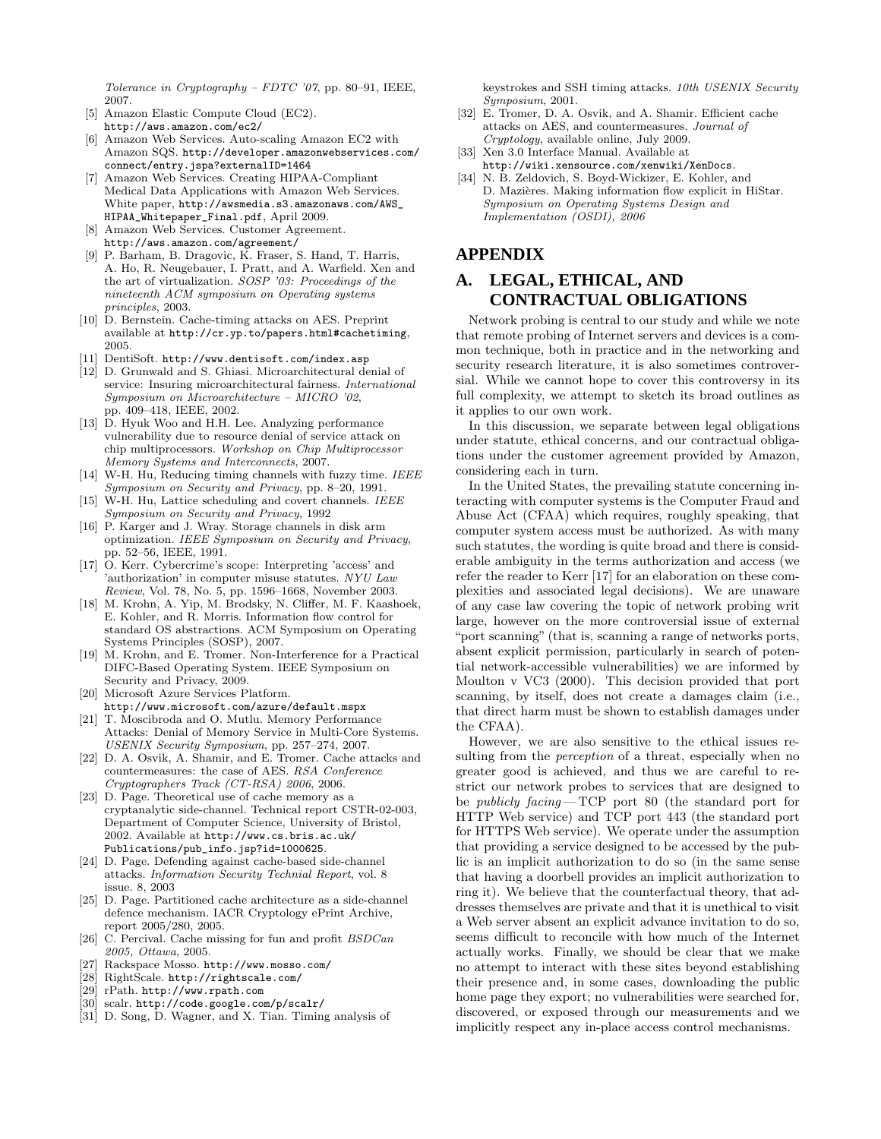Tolerance in Cryptography – FDTC '07, pp. 80–91, IEEE, 2007.

- [5] Amazon Elastic Compute Cloud (EC2). http://aws.amazon.com/ec2/
- [6] Amazon Web Services. Auto-scaling Amazon EC2 with Amazon SQS. http://developer.amazonwebservices.com/ connect/entry.jspa?externalID=1464
- [7] Amazon Web Services. Creating HIPAA-Compliant Medical Data Applications with Amazon Web Services. White paper, http://awsmedia.s3.amazonaws.com/AWS\_ HIPAA\_Whitepaper\_Final.pdf, April 2009.
- [8] Amazon Web Services. Customer Agreement. http://aws.amazon.com/agreement/
- [9] P. Barham, B. Dragovic, K. Fraser, S. Hand, T. Harris, A. Ho, R. Neugebauer, I. Pratt, and A. Warfield. Xen and the art of virtualization. SOSP '03: Proceedings of the nineteenth ACM symposium on Operating systems principles, 2003.
- [10] D. Bernstein. Cache-timing attacks on AES. Preprint available at http://cr.yp.to/papers.html#cachetiming, 2005.
- [11] DentiSoft. http://www.dentisoft.com/index.asp
- [12] D. Grunwald and S. Ghiasi. Microarchitectural denial of service: Insuring microarchitectural fairness. International Symposium on Microarchitecture – MICRO '02, pp. 409–418, IEEE, 2002.
- [13] D. Hyuk Woo and H.H. Lee. Analyzing performance vulnerability due to resource denial of service attack on chip multiprocessors. Workshop on Chip Multiprocessor Memory Systems and Interconnects, 2007.
- [14] W-H. Hu, Reducing timing channels with fuzzy time. IEEE Symposium on Security and Privacy, pp. 8–20, 1991.
- [15] W-H. Hu, Lattice scheduling and covert channels. *IEEE* Symposium on Security and Privacy, 1992
- [16] P. Karger and J. Wray. Storage channels in disk arm optimization. IEEE Symposium on Security and Privacy, pp. 52–56, IEEE, 1991.
- [17] O. Kerr. Cybercrime's scope: Interpreting 'access' and 'authorization' in computer misuse statutes. NYU Law Review, Vol. 78, No. 5, pp. 1596–1668, November 2003.
- [18] M. Krohn, A. Yip, M. Brodsky, N. Cliffer, M. F. Kaashoek, E. Kohler, and R. Morris. Information flow control for standard OS abstractions. ACM Symposium on Operating Systems Principles (SOSP), 2007.
- [19] M. Krohn, and E. Tromer. Non-Interference for a Practical DIFC-Based Operating System. IEEE Symposium on Security and Privacy, 2009.
- [20] Microsoft Azure Services Platform. http://www.microsoft.com/azure/default.mspx
- [21] T. Moscibroda and O. Mutlu. Memory Performance Attacks: Denial of Memory Service in Multi-Core Systems. USENIX Security Symposium, pp. 257–274, 2007.
- [22] D. A. Osvik, A. Shamir, and E. Tromer. Cache attacks and countermeasures: the case of AES. RSA Conference Cryptographers Track (CT-RSA) 2006, 2006.
- [23] D. Page. Theoretical use of cache memory as a cryptanalytic side-channel. Technical report CSTR-02-003, Department of Computer Science, University of Bristol, 2002. Available at http://www.cs.bris.ac.uk/ Publications/pub\_info.jsp?id=1000625.
- [24] D. Page. Defending against cache-based side-channel attacks. Information Security Technial Report, vol. 8 issue. 8, 2003
- [25] D. Page. Partitioned cache architecture as a side-channel defence mechanism. IACR Cryptology ePrint Archive, report 2005/280, 2005.
- [26] C. Percival. Cache missing for fun and profit  $BSDCan$ 2005, Ottawa, 2005.
- [27] Rackspace Mosso. http://www.mosso.com/
- [28] RightScale. http://rightscale.com/
- [29] rPath. http://www.rpath.com
- [30] scalr. http://code.google.com/p/scalr/
- [31] D. Song, D. Wagner, and X. Tian. Timing analysis of

keystrokes and SSH timing attacks. 10th USENIX Security Symposium, 2001.

- [32] E. Tromer, D. A. Osvik, and A. Shamir. Efficient cache attacks on AES, and countermeasures. Journal of Cryptology, available online, July 2009.
- [33] Xen 3.0 Interface Manual. Available at http://wiki.xensource.com/xenwiki/XenDocs.
- [34] N. B. Zeldovich, S. Boyd-Wickizer, E. Kohler, and D. Mazières. Making information flow explicit in HiStar. Symposium on Operating Systems Design and Implementation (OSDI), 2006

## **APPENDIX**

# **A. LEGAL, ETHICAL, AND CONTRACTUAL OBLIGATIONS**

Network probing is central to our study and while we note that remote probing of Internet servers and devices is a common technique, both in practice and in the networking and security research literature, it is also sometimes controversial. While we cannot hope to cover this controversy in its full complexity, we attempt to sketch its broad outlines as it applies to our own work.

In this discussion, we separate between legal obligations under statute, ethical concerns, and our contractual obligations under the customer agreement provided by Amazon, considering each in turn.

In the United States, the prevailing statute concerning interacting with computer systems is the Computer Fraud and Abuse Act (CFAA) which requires, roughly speaking, that computer system access must be authorized. As with many such statutes, the wording is quite broad and there is considerable ambiguity in the terms authorization and access (we refer the reader to Kerr [17] for an elaboration on these complexities and associated legal decisions). We are unaware of any case law covering the topic of network probing writ large, however on the more controversial issue of external "port scanning" (that is, scanning a range of networks ports, absent explicit permission, particularly in search of potential network-accessible vulnerabilities) we are informed by Moulton v VC3 (2000). This decision provided that port scanning, by itself, does not create a damages claim (i.e., that direct harm must be shown to establish damages under the CFAA).

However, we are also sensitive to the ethical issues resulting from the *perception* of a threat, especially when no greater good is achieved, and thus we are careful to restrict our network probes to services that are designed to be publicly facing— TCP port 80 (the standard port for HTTP Web service) and TCP port 443 (the standard port for HTTPS Web service). We operate under the assumption that providing a service designed to be accessed by the public is an implicit authorization to do so (in the same sense that having a doorbell provides an implicit authorization to ring it). We believe that the counterfactual theory, that addresses themselves are private and that it is unethical to visit a Web server absent an explicit advance invitation to do so, seems difficult to reconcile with how much of the Internet actually works. Finally, we should be clear that we make no attempt to interact with these sites beyond establishing their presence and, in some cases, downloading the public home page they export; no vulnerabilities were searched for, discovered, or exposed through our measurements and we implicitly respect any in-place access control mechanisms.